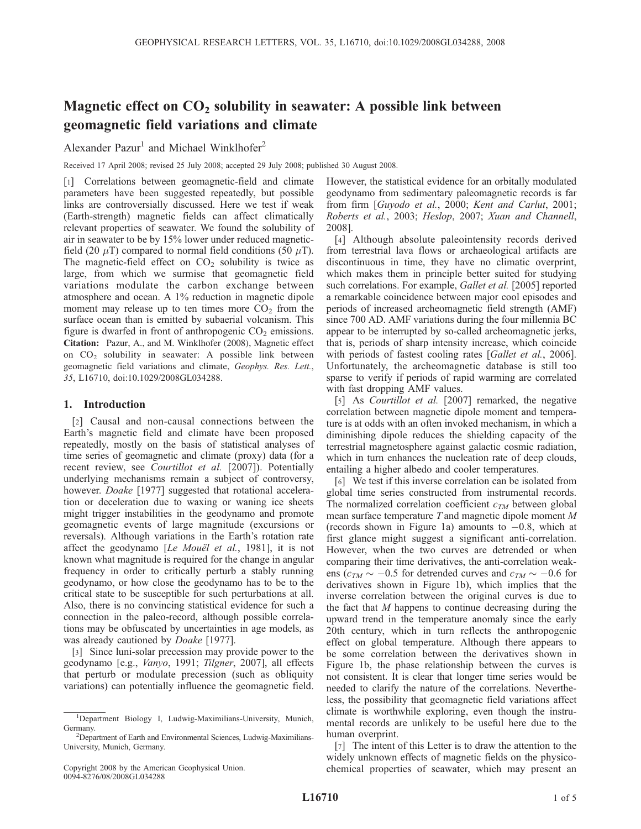# Magnetic effect on  $CO<sub>2</sub>$  solubility in seawater: A possible link between geomagnetic field variations and climate

Alexander Pazur<sup>1</sup> and Michael Winklhofer<sup>2</sup>

Received 17 April 2008; revised 25 July 2008; accepted 29 July 2008; published 30 August 2008.

[1] Correlations between geomagnetic-field and climate parameters have been suggested repeatedly, but possible links are controversially discussed. Here we test if weak (Earth-strength) magnetic fields can affect climatically relevant properties of seawater. We found the solubility of air in seawater to be by 15% lower under reduced magneticfield (20  $\mu$ T) compared to normal field conditions (50  $\mu$ T). The magnetic-field effect on  $CO<sub>2</sub>$  solubility is twice as large, from which we surmise that geomagnetic field variations modulate the carbon exchange between atmosphere and ocean. A 1% reduction in magnetic dipole moment may release up to ten times more  $CO<sub>2</sub>$  from the surface ocean than is emitted by subaerial volcanism. This figure is dwarfed in front of anthropogenic  $CO<sub>2</sub>$  emissions. Citation: Pazur, A., and M. Winklhofer (2008), Magnetic effect on  $CO<sub>2</sub>$  solubility in seawater: A possible link between geomagnetic field variations and climate, Geophys. Res. Lett., 35, L16710, doi:10.1029/2008GL034288.

## 1. Introduction

[2] Causal and non-causal connections between the Earth's magnetic field and climate have been proposed repeatedly, mostly on the basis of statistical analyses of time series of geomagnetic and climate (proxy) data (for a recent review, see *Courtillot et al.* [2007]). Potentially underlying mechanisms remain a subject of controversy, however. Doake [1977] suggested that rotational acceleration or deceleration due to waxing or waning ice sheets might trigger instabilities in the geodynamo and promote geomagnetic events of large magnitude (excursions or reversals). Although variations in the Earth's rotation rate affect the geodynamo [Le Mouël et al., 1981], it is not known what magnitude is required for the change in angular frequency in order to critically perturb a stably running geodynamo, or how close the geodynamo has to be to the critical state to be susceptible for such perturbations at all. Also, there is no convincing statistical evidence for such a connection in the paleo-record, although possible correlations may be obfuscated by uncertainties in age models, as was already cautioned by *Doake* [1977].

[3] Since luni-solar precession may provide power to the geodynamo [e.g., Vanyo, 1991; Tilgner, 2007], all effects that perturb or modulate precession (such as obliquity variations) can potentially influence the geomagnetic field. However, the statistical evidence for an orbitally modulated geodynamo from sedimentary paleomagnetic records is far from firm [Guyodo et al., 2000; Kent and Carlut, 2001; Roberts et al., 2003; Heslop, 2007; Xuan and Channell, 2008].

[4] Although absolute paleointensity records derived from terrestrial lava flows or archaeological artifacts are discontinuous in time, they have no climatic overprint, which makes them in principle better suited for studying such correlations. For example, Gallet et al. [2005] reported a remarkable coincidence between major cool episodes and periods of increased archeomagnetic field strength (AMF) since 700 AD. AMF variations during the four millennia BC appear to be interrupted by so-called archeomagnetic jerks, that is, periods of sharp intensity increase, which coincide with periods of fastest cooling rates [Gallet et al., 2006]. Unfortunately, the archeomagnetic database is still too sparse to verify if periods of rapid warming are correlated with fast dropping AMF values.

[5] As *Courtillot et al.* [2007] remarked, the negative correlation between magnetic dipole moment and temperature is at odds with an often invoked mechanism, in which a diminishing dipole reduces the shielding capacity of the terrestrial magnetosphere against galactic cosmic radiation, which in turn enhances the nucleation rate of deep clouds, entailing a higher albedo and cooler temperatures.

[6] We test if this inverse correlation can be isolated from global time series constructed from instrumental records. The normalized correlation coefficient  $c<sub>TM</sub>$  between global mean surface temperature  $T$  and magnetic dipole moment  $M$ (records shown in Figure 1a) amounts to  $-0.8$ , which at first glance might suggest a significant anti-correlation. However, when the two curves are detrended or when comparing their time derivatives, the anti-correlation weakens ( $c_{TM} \sim -0.5$  for detrended curves and  $c_{TM} \sim -0.6$  for derivatives shown in Figure 1b), which implies that the inverse correlation between the original curves is due to the fact that  $M$  happens to continue decreasing during the upward trend in the temperature anomaly since the early 20th century, which in turn reflects the anthropogenic effect on global temperature. Although there appears to be some correlation between the derivatives shown in Figure 1b, the phase relationship between the curves is not consistent. It is clear that longer time series would be needed to clarify the nature of the correlations. Nevertheless, the possibility that geomagnetic field variations affect climate is worthwhile exploring, even though the instrumental records are unlikely to be useful here due to the human overprint.

[7] The intent of this Letter is to draw the attention to the widely unknown effects of magnetic fields on the physicochemical properties of seawater, which may present an

<sup>&</sup>lt;sup>1</sup>Department Biology I, Ludwig-Maximilians-University, Munich, Germany.

<sup>&</sup>lt;sup>2</sup>Department of Earth and Environmental Sciences, Ludwig-Maximilians-University, Munich, Germany.

Copyright 2008 by the American Geophysical Union. 0094-8276/08/2008GL034288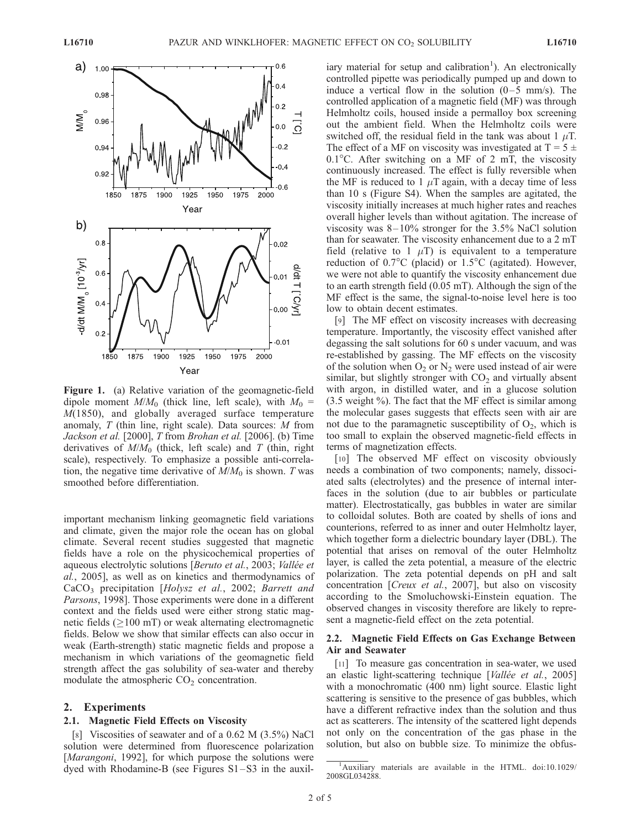

Figure 1. (a) Relative variation of the geomagnetic-field dipole moment  $M/M_0$  (thick line, left scale), with  $M_0 =$  $M(1850)$ , and globally averaged surface temperature anomaly,  $T$  (thin line, right scale). Data sources:  $M$  from Jackson et al. [2000], T from Brohan et al. [2006]. (b) Time derivatives of  $M/M_0$  (thick, left scale) and T (thin, right scale), respectively. To emphasize a possible anti-correlation, the negative time derivative of  $M/M_0$  is shown. T was smoothed before differentiation.

important mechanism linking geomagnetic field variations and climate, given the major role the ocean has on global climate. Several recent studies suggested that magnetic fields have a role on the physicochemical properties of aqueous electrolytic solutions [Beruto et al., 2003; Vallée et al., 2005], as well as on kinetics and thermodynamics of CaCO<sub>3</sub> precipitation [Holysz et al., 2002; Barrett and Parsons, 1998]. Those experiments were done in a different context and the fields used were either strong static magnetic fields ( $\geq$ 100 mT) or weak alternating electromagnetic fields. Below we show that similar effects can also occur in weak (Earth-strength) static magnetic fields and propose a mechanism in which variations of the geomagnetic field strength affect the gas solubility of sea-water and thereby modulate the atmospheric  $CO<sub>2</sub>$  concentration.

## 2. Experiments

## 2.1. Magnetic Field Effects on Viscosity

[8] Viscosities of seawater and of a 0.62 M (3.5%) NaCl solution were determined from fluorescence polarization [*Marangoni*, 1992], for which purpose the solutions were dyed with Rhodamine-B (see Figures S1–S3 in the auxil-

iary material for setup and calibration<sup>1</sup>). An electronically controlled pipette was periodically pumped up and down to induce a vertical flow in the solution  $(0-5 \text{ mm/s})$ . The controlled application of a magnetic field (MF) was through Helmholtz coils, housed inside a permalloy box screening out the ambient field. When the Helmholtz coils were switched off, the residual field in the tank was about 1  $\mu$ T. The effect of a MF on viscosity was investigated at  $T = 5 \pm 1$  $0.1^{\circ}$ C. After switching on a MF of 2 mT, the viscosity continuously increased. The effect is fully reversible when the MF is reduced to 1  $\mu$ T again, with a decay time of less than 10 s (Figure S4). When the samples are agitated, the viscosity initially increases at much higher rates and reaches overall higher levels than without agitation. The increase of viscosity was  $8 - 10\%$  stronger for the 3.5% NaCl solution than for seawater. The viscosity enhancement due to a 2 mT field (relative to 1  $\mu$ T) is equivalent to a temperature reduction of  $0.7^{\circ}$ C (placid) or  $1.5^{\circ}$ C (agitated). However, we were not able to quantify the viscosity enhancement due to an earth strength field (0.05 mT). Although the sign of the MF effect is the same, the signal-to-noise level here is too low to obtain decent estimates.

[9] The MF effect on viscosity increases with decreasing temperature. Importantly, the viscosity effect vanished after degassing the salt solutions for 60 s under vacuum, and was re-established by gassing. The MF effects on the viscosity of the solution when  $O_2$  or  $N_2$  were used instead of air were similar, but slightly stronger with  $CO<sub>2</sub>$  and virtually absent with argon, in distilled water, and in a glucose solution  $(3.5 \text{ weight } \%)$ . The fact that the MF effect is similar among the molecular gases suggests that effects seen with air are not due to the paramagnetic susceptibility of  $O_2$ , which is too small to explain the observed magnetic-field effects in terms of magnetization effects.

[10] The observed MF effect on viscosity obviously needs a combination of two components; namely, dissociated salts (electrolytes) and the presence of internal interfaces in the solution (due to air bubbles or particulate matter). Electrostatically, gas bubbles in water are similar to colloidal solutes. Both are coated by shells of ions and counterions, referred to as inner and outer Helmholtz layer, which together form a dielectric boundary layer (DBL). The potential that arises on removal of the outer Helmholtz layer, is called the zeta potential, a measure of the electric polarization. The zeta potential depends on pH and salt concentration [Creux et al., 2007], but also on viscosity according to the Smoluchowski-Einstein equation. The observed changes in viscosity therefore are likely to represent a magnetic-field effect on the zeta potential.

## 2.2. Magnetic Field Effects on Gas Exchange Between Air and Seawater

[11] To measure gas concentration in sea-water, we used an elastic light-scattering technique [Vallée et al., 2005] with a monochromatic (400 nm) light source. Elastic light scattering is sensitive to the presence of gas bubbles, which have a different refractive index than the solution and thus act as scatterers. The intensity of the scattered light depends not only on the concentration of the gas phase in the solution, but also on bubble size. To minimize the obfus-

<sup>&</sup>lt;sup>1</sup>Auxiliary materials are available in the HTML. doi:10.1029/ 2008GL034288.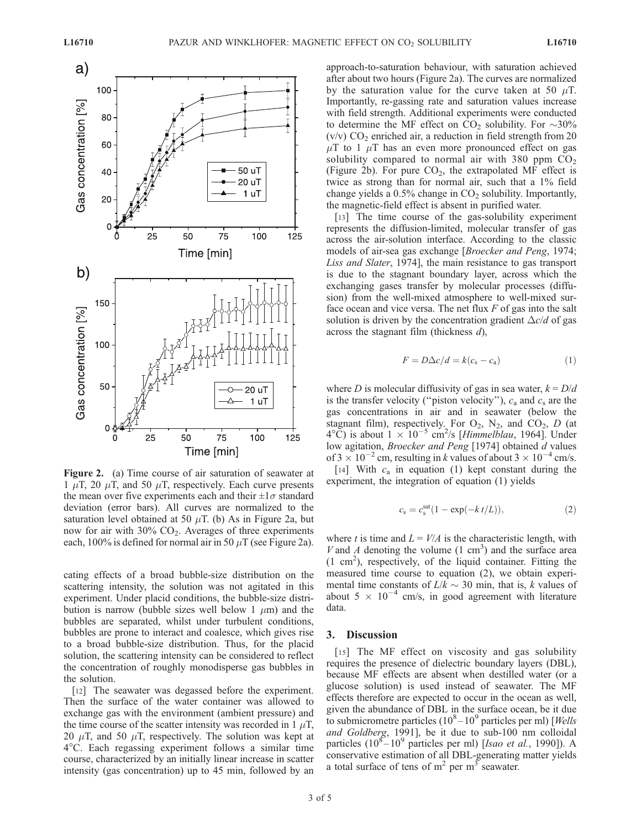

Figure 2. (a) Time course of air saturation of seawater at 1  $\mu$ T, 20  $\mu$ T, and 50  $\mu$ T, respectively. Each curve presents the mean over five experiments each and their  $\pm 1\sigma$  standard deviation (error bars). All curves are normalized to the saturation level obtained at 50  $\mu$ T. (b) As in Figure 2a, but now for air with  $30\%$  CO<sub>2</sub>. Averages of three experiments each, 100% is defined for normal air in 50  $\mu$ T (see Figure 2a).

cating effects of a broad bubble-size distribution on the scattering intensity, the solution was not agitated in this experiment. Under placid conditions, the bubble-size distribution is narrow (bubble sizes well below 1  $\mu$ m) and the bubbles are separated, whilst under turbulent conditions, bubbles are prone to interact and coalesce, which gives rise to a broad bubble-size distribution. Thus, for the placid solution, the scattering intensity can be considered to reflect the concentration of roughly monodisperse gas bubbles in the solution.

[12] The seawater was degassed before the experiment. Then the surface of the water container was allowed to exchange gas with the environment (ambient pressure) and the time course of the scatter intensity was recorded in 1  $\mu$ T, 20  $\mu$ T, and 50  $\mu$ T, respectively. The solution was kept at 4C. Each regassing experiment follows a similar time course, characterized by an initially linear increase in scatter intensity (gas concentration) up to 45 min, followed by an approach-to-saturation behaviour, with saturation achieved after about two hours (Figure 2a). The curves are normalized by the saturation value for the curve taken at 50  $\mu$ T. Importantly, re-gassing rate and saturation values increase with field strength. Additional experiments were conducted to determine the MF effect on  $CO_2$  solubility. For  $\sim$ 30% (v/v)  $CO<sub>2</sub>$  enriched air, a reduction in field strength from 20  $\mu$ T to 1  $\mu$ T has an even more pronounced effect on gas solubility compared to normal air with 380 ppm  $CO<sub>2</sub>$ (Figure 2b). For pure  $CO<sub>2</sub>$ , the extrapolated MF effect is twice as strong than for normal air, such that a 1% field change yields a  $0.5\%$  change in  $CO<sub>2</sub>$  solubility. Importantly, the magnetic-field effect is absent in purified water.

[13] The time course of the gas-solubility experiment represents the diffusion-limited, molecular transfer of gas across the air-solution interface. According to the classic models of air-sea gas exchange [Broecker and Peng, 1974; Liss and Slater, 1974], the main resistance to gas transport is due to the stagnant boundary layer, across which the exchanging gases transfer by molecular processes (diffusion) from the well-mixed atmosphere to well-mixed surface ocean and vice versa. The net flux  $F$  of gas into the salt solution is driven by the concentration gradient  $\Delta c/d$  of gas across the stagnant film (thickness  $d$ ),

$$
F = D\Delta c/d = k(c_s - c_a)
$$
 (1)

where D is molecular diffusivity of gas in sea water,  $k = D/d$ is the transfer velocity ("piston velocity"),  $c_a$  and  $c_s$  are the gas concentrations in air and in seawater (below the stagnant film), respectively. For  $O_2$ ,  $N_2$ , and  $CO_2$ , D (at  $4^{\circ}$ C) is about  $1 \times 10^{-5}$  cm<sup>2</sup>/s [*Himmelblau*, 1964]. Under low agitation, Broecker and Peng [1974] obtained d values of  $3 \times 10^{-2}$  cm, resulting in k values of about  $3 \times 10^{-4}$  cm/s.

[14] With  $c_a$  in equation (1) kept constant during the experiment, the integration of equation (1) yields

$$
c_{\rm s} = c_{\rm s}^{\rm sat} (1 - \exp(-k t/L)), \tag{2}
$$

where t is time and  $L = V/A$  is the characteristic length, with V and A denoting the volume  $(1 \text{ cm}^3)$  and the surface area  $(1 \text{ cm}^2)$ , respectively, of the liquid container. Fitting the measured time course to equation (2), we obtain experimental time constants of  $L/k \sim 30$  min, that is, k values of about 5  $\times$  10<sup>-4</sup> cm/s, in good agreement with literature data.

## 3. Discussion

[15] The MF effect on viscosity and gas solubility requires the presence of dielectric boundary layers (DBL), because MF effects are absent when destilled water (or a glucose solution) is used instead of seawater. The MF effects therefore are expected to occur in the ocean as well, given the abundance of DBL in the surface ocean, be it due to submicrometre particles  $(10^8 - 10^9$  particles per ml) [Wells and Goldberg, 1991], be it due to sub-100 nm colloidal particles  $(10^8 - 10^9$  particles per ml) [*Isao et al.*, 1990]). A conservative estimation of all DBL-generating matter yields a total surface of tens of  $m<sup>2</sup>$  per  $m<sup>3</sup>$  seawater.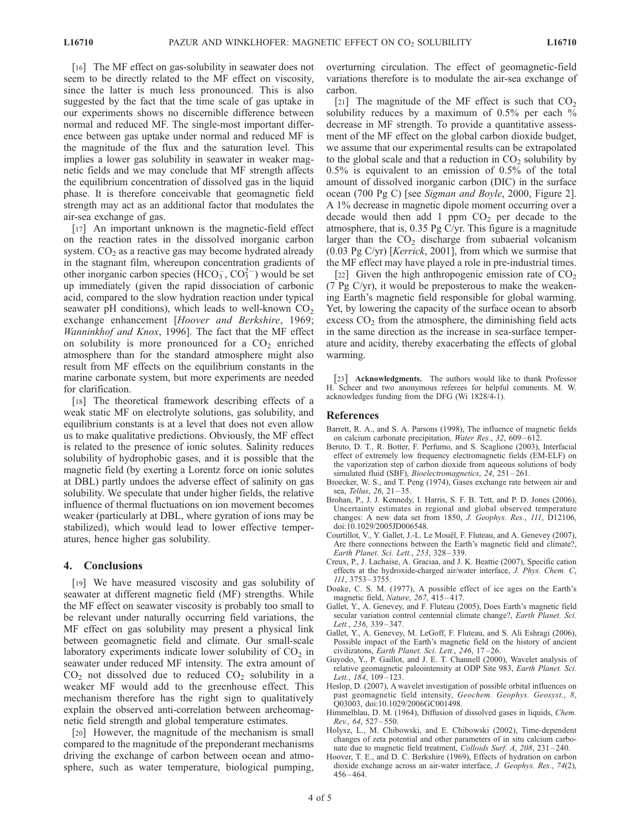[16] The MF effect on gas-solubility in seawater does not seem to be directly related to the MF effect on viscosity, since the latter is much less pronounced. This is also suggested by the fact that the time scale of gas uptake in our experiments shows no discernible difference between normal and reduced MF. The single-most important difference between gas uptake under normal and reduced MF is the magnitude of the flux and the saturation level. This implies a lower gas solubility in seawater in weaker magnetic fields and we may conclude that MF strength affects the equilibrium concentration of dissolved gas in the liquid phase. It is therefore conceivable that geomagnetic field strength may act as an additional factor that modulates the air-sea exchange of gas.

[17] An important unknown is the magnetic-field effect on the reaction rates in the dissolved inorganic carbon system.  $CO<sub>2</sub>$  as a reactive gas may become hydrated already in the stagnant film, whereupon concentration gradients of other inorganic carbon species (HCO<sub>3</sub>, CO<sub>3</sub><sup>-</sup>) would be set up immediately (given the rapid dissociation of carbonic acid, compared to the slow hydration reaction under typical seawater pH conditions), which leads to well-known  $CO<sub>2</sub>$ exchange enhancement [Hoover and Berkshire, 1969; Wanninkhof and Knox, 1996]. The fact that the MF effect on solubility is more pronounced for a  $CO<sub>2</sub>$  enriched atmosphere than for the standard atmosphere might also result from MF effects on the equilibrium constants in the marine carbonate system, but more experiments are needed for clarification.

[18] The theoretical framework describing effects of a weak static MF on electrolyte solutions, gas solubility, and equilibrium constants is at a level that does not even allow us to make qualitative predictions. Obviously, the MF effect is related to the presence of ionic solutes. Salinity reduces solubility of hydrophobic gases, and it is possible that the magnetic field (by exerting a Lorentz force on ionic solutes at DBL) partly undoes the adverse effect of salinity on gas solubility. We speculate that under higher fields, the relative influence of thermal fluctuations on ion movement becomes weaker (particularly at DBL, where gyration of ions may be stabilized), which would lead to lower effective temperatures, hence higher gas solubility.

## 4. Conclusions

[19] We have measured viscosity and gas solubility of seawater at different magnetic field (MF) strengths. While the MF effect on seawater viscosity is probably too small to be relevant under naturally occurring field variations, the MF effect on gas solubility may present a physical link between geomagnetic field and climate. Our small-scale laboratory experiments indicate lower solubility of  $CO<sub>2</sub>$  in seawater under reduced MF intensity. The extra amount of  $CO<sub>2</sub>$  not dissolved due to reduced  $CO<sub>2</sub>$  solubility in a weaker MF would add to the greenhouse effect. This mechanism therefore has the right sign to qualitatively explain the observed anti-correlation between archeomagnetic field strength and global temperature estimates.

[20] However, the magnitude of the mechanism is small compared to the magnitude of the preponderant mechanisms driving the exchange of carbon between ocean and atmosphere, such as water temperature, biological pumping,

overturning circulation. The effect of geomagnetic-field variations therefore is to modulate the air-sea exchange of carbon.

[21] The magnitude of the MF effect is such that  $CO<sub>2</sub>$ solubility reduces by a maximum of  $0.5\%$  per each  $\%$ decrease in MF strength. To provide a quantitative assessment of the MF effect on the global carbon dioxide budget, we assume that our experimental results can be extrapolated to the global scale and that a reduction in  $CO<sub>2</sub>$  solubility by 0.5% is equivalent to an emission of 0.5% of the total amount of dissolved inorganic carbon (DIC) in the surface ocean (700 Pg C) [see Sigman and Boyle, 2000, Figure 2]. A 1% decrease in magnetic dipole moment occurring over a decade would then add 1 ppm  $CO<sub>2</sub>$  per decade to the atmosphere, that is, 0.35 Pg C/yr. This figure is a magnitude larger than the  $CO<sub>2</sub>$  discharge from subaerial volcanism  $(0.03 \text{ Pg C/yr})$  [*Kerrick*, 2001], from which we surmise that the MF effect may have played a role in pre-industrial times.

[22] Given the high anthropogenic emission rate of  $CO<sub>2</sub>$ (7 Pg  $C/yr$ ), it would be preposterous to make the weakening Earth's magnetic field responsible for global warming. Yet, by lowering the capacity of the surface ocean to absorb excess  $CO<sub>2</sub>$  from the atmosphere, the diminishing field acts in the same direction as the increase in sea-surface temperature and acidity, thereby exacerbating the effects of global warming.

[23] **Acknowledgments.** The authors would like to thank Professor H. Scheer and two anonymous referees for helpful comments. M. W. acknowledges funding from the DFG (Wi 1828/4-1).

#### References

- Barrett, R. A., and S. A. Parsons (1998), The influence of magnetic fields on calcium carbonate precipitation, Water Res., 32, 609-612.
- Beruto, D. T., R. Botter, F. Perfumo, and S. Scaglione (2003), Interfacial effect of extremely low frequency electromagnetic fields (EM-ELF) on the vaporization step of carbon dioxide from aqueous solutions of body simulated fluid (SBF), *Bioelectromagnetics*, 24, 251-261.
- Broecker, W. S., and T. Peng (1974), Gases exchange rate between air and sea, Tellus, 26, 21-35.
- Brohan, P., J. J. Kennedy, I. Harris, S. F. B. Tett, and P. D. Jones (2006), Uncertainty estimates in regional and global observed temperature changes: A new data set from 1850, J. Geophys. Res., 111, D12106, doi:10.1029/2005JD006548.
- Courtillot, V., Y. Gallet, J.-L. Le Mouël, F. Fluteau, and A. Genevey (2007), Are there connections between the Earth's magnetic field and climate?, Earth Planet. Sci. Lett., 253, 328 – 339.
- Creux, P., J. Lachaise, A. Graciaa, and J. K. Beattie (2007), Specific cation effects at the hydroxide-charged air/water interface, J. Phys. Chem. C, 111, 3753 – 3755.
- Doake, C. S. M. (1977), A possible effect of ice ages on the Earth's magnetic field, Nature, 267, 415-417.
- Gallet, Y., A. Genevey, and F. Fluteau (2005), Does Earth's magnetic field secular variation control centennial climate change?, Earth Planet. Sci. Lett., 236, 339-347.
- Gallet, Y., A. Genevey, M. LeGoff, F. Fluteau, and S. Ali Eshragi (2006), Possible impact of the Earth's magnetic field on the history of ancient civilizatons, Earth Planet. Sci. Lett., 246, 17-26.
- Guyodo, Y., P. Gaillot, and J. E. T. Channell (2000), Wavelet analysis of relative geomagnetic paleointensity at ODP Site 983, Earth Planet. Sci. Lett., 184, 109-123.
- Heslop, D. (2007), A wavelet investigation of possible orbital influences on past geomagnetic field intensity, Geochem. Geophys. Geosyst., 8, Q03003, doi:10.1029/2006GC001498.
- Himmelblau, D. M. (1964), Diffusion of dissolved gases in liquids, Chem. Rev., 64, 527 – 550.
- Holysz, L., M. Chibowski, and E. Chibowski (2002), Time-dependent changes of zeta potential and other parameters of in situ calcium carbonate due to magnetic field treatment, Colloids Surf. A, 208, 231-240.
- Hoover, T. E., and D. C. Berkshire (1969), Effects of hydration on carbon dioxide exchange across an air-water interface, J. Geophys. Res., 74(2),  $456 - 464.$